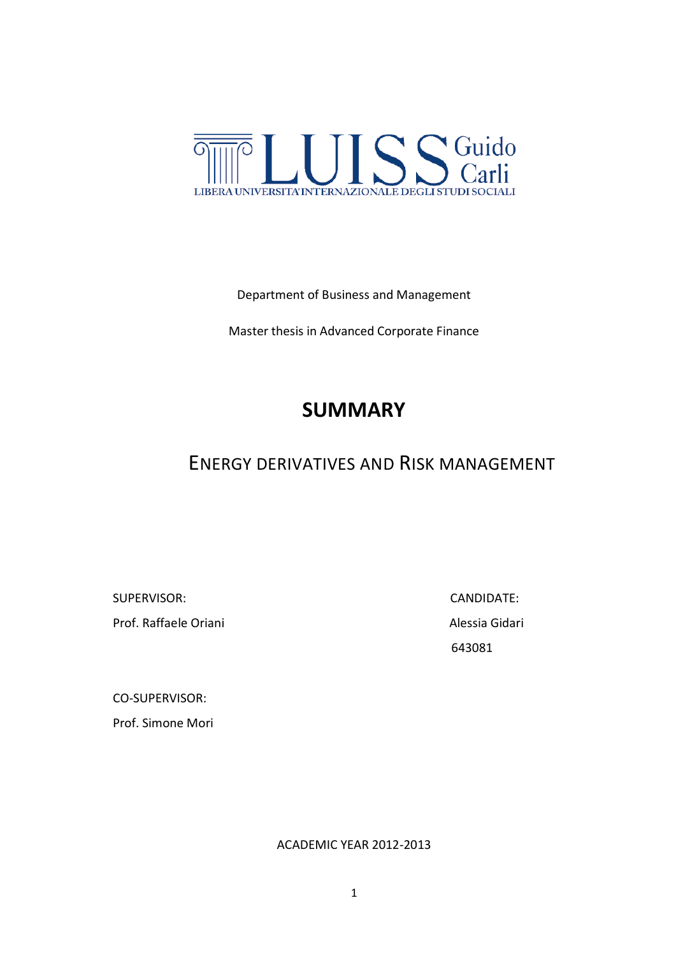

### Department of Business and Management

Master thesis in Advanced Corporate Finance

# **SUMMARY**

# ENERGY DERIVATIVES AND RISK MANAGEMENT

SUPERVISOR:CANDIDATE:

Prof. Raffaele Oriani **Alessia Gidari** Alessia Gidari

643081

CO-SUPERVISOR:

Prof. Simone Mori

ACADEMIC YEAR 2012-2013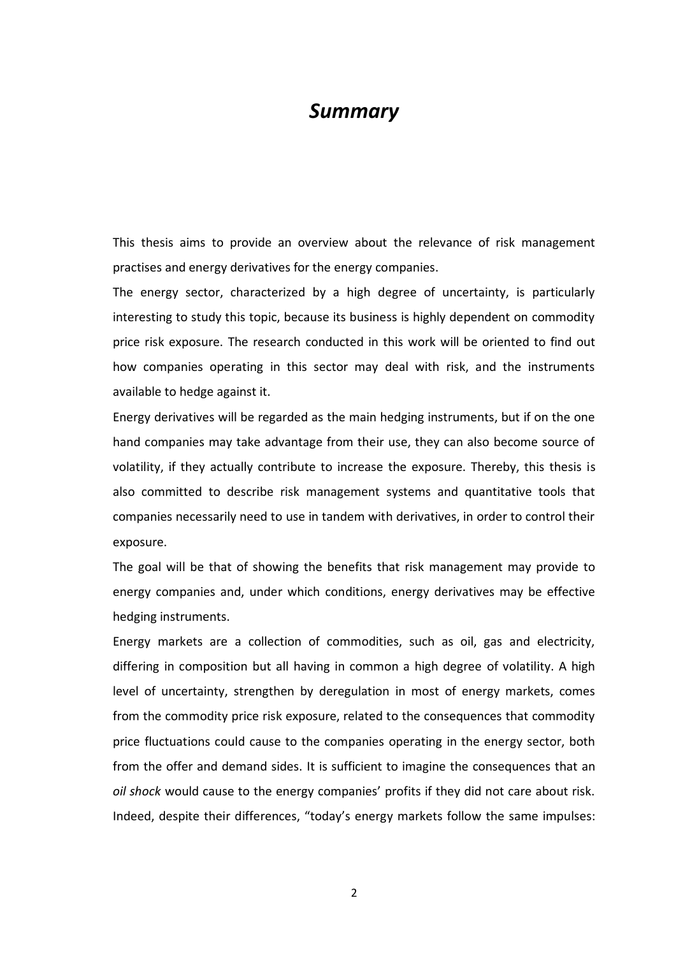## *Summary*

This thesis aims to provide an overview about the relevance of risk management practises and energy derivatives for the energy companies.

The energy sector, characterized by a high degree of uncertainty, is particularly interesting to study this topic, because its business is highly dependent on commodity price risk exposure. The research conducted in this work will be oriented to find out how companies operating in this sector may deal with risk, and the instruments available to hedge against it.

Energy derivatives will be regarded as the main hedging instruments, but if on the one hand companies may take advantage from their use, they can also become source of volatility, if they actually contribute to increase the exposure. Thereby, this thesis is also committed to describe risk management systems and quantitative tools that companies necessarily need to use in tandem with derivatives, in order to control their exposure.

The goal will be that of showing the benefits that risk management may provide to energy companies and, under which conditions, energy derivatives may be effective hedging instruments.

Energy markets are a collection of commodities, such as oil, gas and electricity, differing in composition but all having in common a high degree of volatility. A high level of uncertainty, strengthen by deregulation in most of energy markets, comes from the commodity price risk exposure, related to the consequences that commodity price fluctuations could cause to the companies operating in the energy sector, both from the offer and demand sides. It is sufficient to imagine the consequences that an *oil shock* would cause to the energy companies' profits if they did not care about risk. Indeed, despite their differences, "today's energy markets follow the same impulses: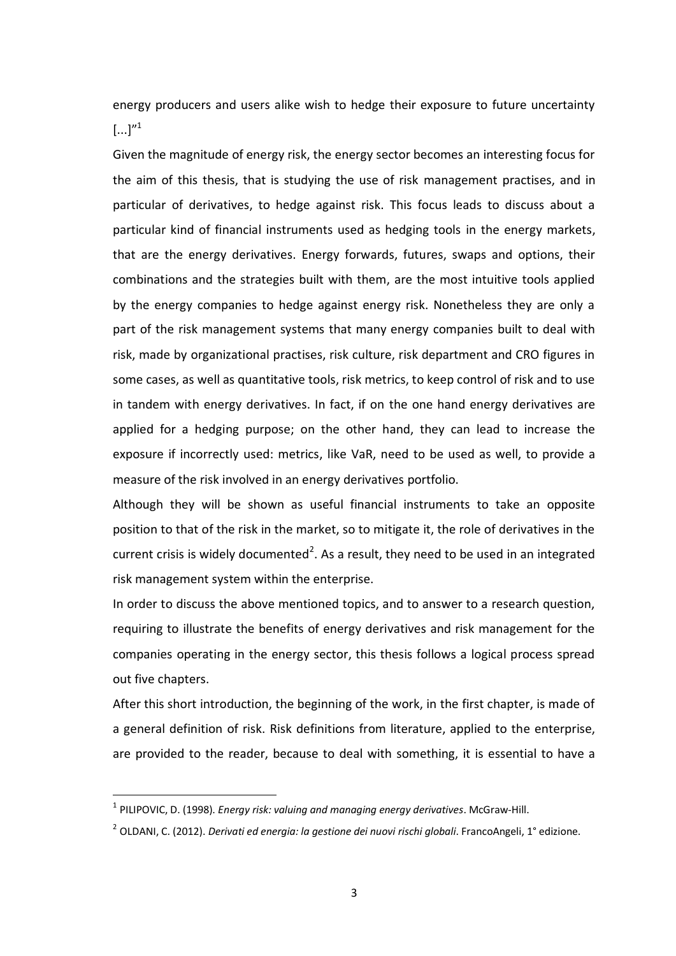energy producers and users alike wish to hedge their exposure to future uncertainty  $[...]''^1$ 

Given the magnitude of energy risk, the energy sector becomes an interesting focus for the aim of this thesis, that is studying the use of risk management practises, and in particular of derivatives, to hedge against risk. This focus leads to discuss about a particular kind of financial instruments used as hedging tools in the energy markets, that are the energy derivatives. Energy forwards, futures, swaps and options, their combinations and the strategies built with them, are the most intuitive tools applied by the energy companies to hedge against energy risk. Nonetheless they are only a part of the risk management systems that many energy companies built to deal with risk, made by organizational practises, risk culture, risk department and CRO figures in some cases, as well as quantitative tools, risk metrics, to keep control of risk and to use in tandem with energy derivatives. In fact, if on the one hand energy derivatives are applied for a hedging purpose; on the other hand, they can lead to increase the exposure if incorrectly used: metrics, like VaR, need to be used as well, to provide a measure of the risk involved in an energy derivatives portfolio.

Although they will be shown as useful financial instruments to take an opposite position to that of the risk in the market, so to mitigate it, the role of derivatives in the current crisis is widely documented<sup>2</sup>. As a result, they need to be used in an integrated risk management system within the enterprise.

In order to discuss the above mentioned topics, and to answer to a research question, requiring to illustrate the benefits of energy derivatives and risk management for the companies operating in the energy sector, this thesis follows a logical process spread out five chapters.

After this short introduction, the beginning of the work, in the first chapter, is made of a general definition of risk. Risk definitions from literature, applied to the enterprise, are provided to the reader, because to deal with something, it is essential to have a

**.** 

<sup>1</sup> PILIPOVIC, D. (1998). *Energy risk: valuing and managing energy derivatives*. McGraw-Hill.

<sup>2</sup> OLDANI, C. (2012). *Derivati ed energia: la gestione dei nuovi rischi globali*. FrancoAngeli, 1° edizione.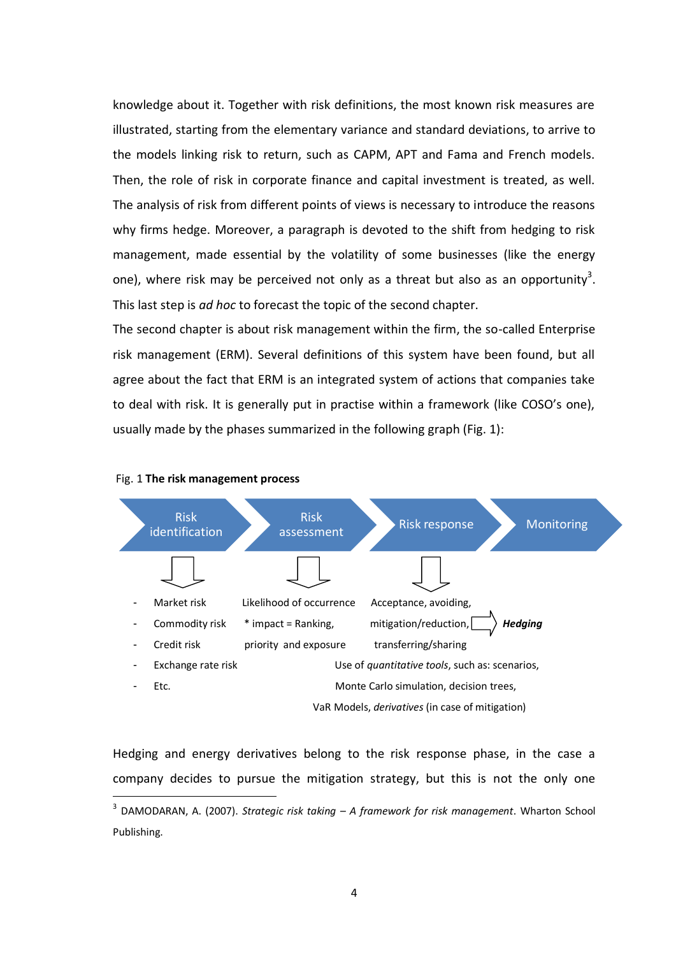knowledge about it. Together with risk definitions, the most known risk measures are illustrated, starting from the elementary variance and standard deviations, to arrive to the models linking risk to return, such as CAPM, APT and Fama and French models. Then, the role of risk in corporate finance and capital investment is treated, as well. The analysis of risk from different points of views is necessary to introduce the reasons why firms hedge. Moreover, a paragraph is devoted to the shift from hedging to risk management, made essential by the volatility of some businesses (like the energy one), where risk may be perceived not only as a threat but also as an opportunity<sup>3</sup>. This last step is *ad hoc* to forecast the topic of the second chapter.

The second chapter is about risk management within the firm, the so-called Enterprise risk management (ERM). Several definitions of this system have been found, but all agree about the fact that ERM is an integrated system of actions that companies take to deal with risk. It is generally put in practise within a framework (like COSO's one), usually made by the phases summarized in the following graph (Fig. 1):





1

Hedging and energy derivatives belong to the risk response phase, in the case a company decides to pursue the mitigation strategy, but this is not the only one

<sup>3</sup> DAMODARAN, A. (2007). *Strategic risk taking – A framework for risk management*. Wharton School Publishing.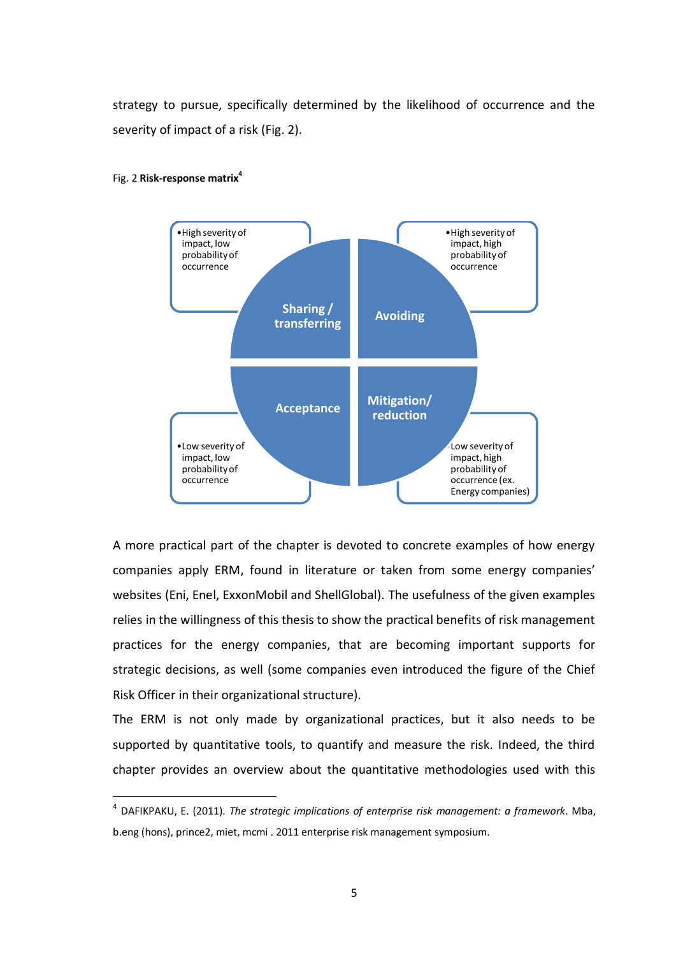strategy to pursue, specifically determined by the likelihood of occurrence and the severity of impact of a risk (Fig. 2).



#### Fig. 2 **Risk-response matrix<sup>4</sup>**

1

A more practical part of the chapter is devoted to concrete examples of how energy companies apply ERM, found in literature or taken from some energy companies' websites (Eni, Enel, ExxonMobil and ShellGlobal). The usefulness of the given examples relies in the willingness of this thesis to show the practical benefits of risk management practices for the energy companies, that are becoming important supports for strategic decisions, as well (some companies even introduced the figure of the Chief Risk Officer in their organizational structure).

The ERM is not only made by organizational practices, but it also needs to be supported by quantitative tools, to quantify and measure the risk. Indeed, the third chapter provides an overview about the quantitative methodologies used with this

<sup>4</sup> DAFIKPAKU, E. (2011). *[The strategic implications of enterprise risk management: a framework](http://docsfiles.com/view.php?view=http://www.soa.org/library/monographs/other-monographs/2011/november/mono-2011-m-as11-1-dafikpaku-abstract.pdf&keyword=risk%20management%202011%20eng&count=)*. Mba, b.eng (hons), prince2, miet, mcmi . 2011 enterprise risk management symposium.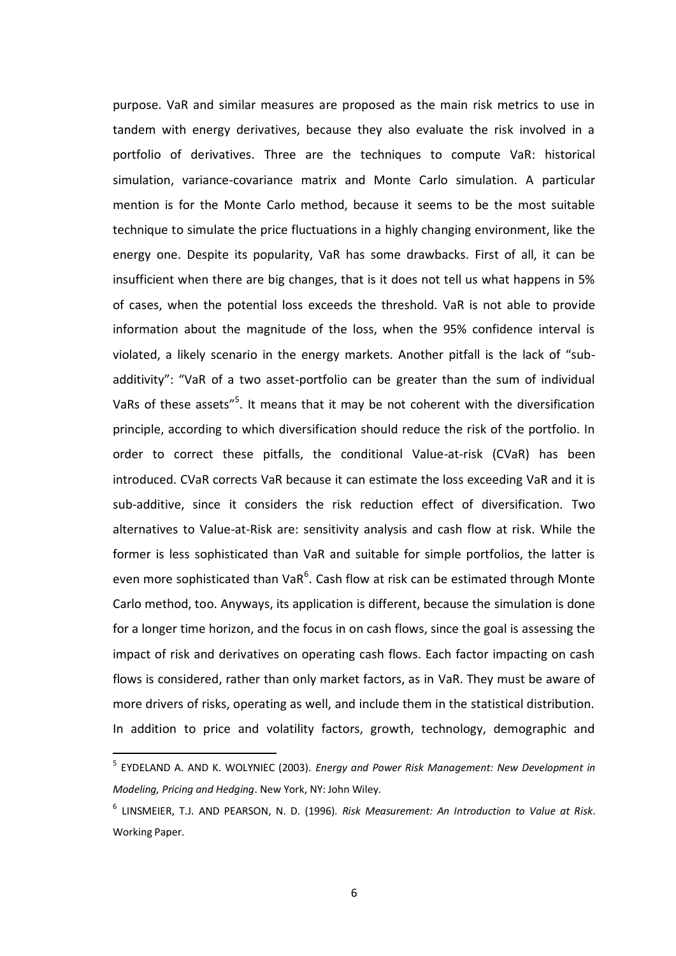purpose. VaR and similar measures are proposed as the main risk metrics to use in tandem with energy derivatives, because they also evaluate the risk involved in a portfolio of derivatives. Three are the techniques to compute VaR: historical simulation, variance-covariance matrix and Monte Carlo simulation. A particular mention is for the Monte Carlo method, because it seems to be the most suitable technique to simulate the price fluctuations in a highly changing environment, like the energy one. Despite its popularity, VaR has some drawbacks. First of all, it can be insufficient when there are big changes, that is it does not tell us what happens in 5% of cases, when the potential loss exceeds the threshold. VaR is not able to provide information about the magnitude of the loss, when the 95% confidence interval is violated, a likely scenario in the energy markets. Another pitfall is the lack of "subadditivity": "VaR of a two asset-portfolio can be greater than the sum of individual VaRs of these assets"<sup>5</sup>. It means that it may be not coherent with the diversification principle, according to which diversification should reduce the risk of the portfolio. In order to correct these pitfalls, the conditional Value-at-risk (CVaR) has been introduced. CVaR corrects VaR because it can estimate the loss exceeding VaR and it is sub-additive, since it considers the risk reduction effect of diversification. Two alternatives to Value-at-Risk are: sensitivity analysis and cash flow at risk. While the former is less sophisticated than VaR and suitable for simple portfolios, the latter is even more sophisticated than VaR<sup>6</sup>. Cash flow at risk can be estimated through Monte Carlo method, too. Anyways, its application is different, because the simulation is done for a longer time horizon, and the focus in on cash flows, since the goal is assessing the impact of risk and derivatives on operating cash flows. Each factor impacting on cash flows is considered, rather than only market factors, as in VaR. They must be aware of more drivers of risks, operating as well, and include them in the statistical distribution. In addition to price and volatility factors, growth, technology, demographic and

**.** 

<sup>5</sup> EYDELAND A. AND K. WOLYNIEC (2003). *Energy and Power Risk Management: New Development in Modeling, Pricing and Hedging*. New York, NY: John Wiley.

<sup>6</sup> LINSMEIER, T.J. AND PEARSON, N. D. (1996). *Risk Measurement: An Introduction to Value at Risk*. Working Paper.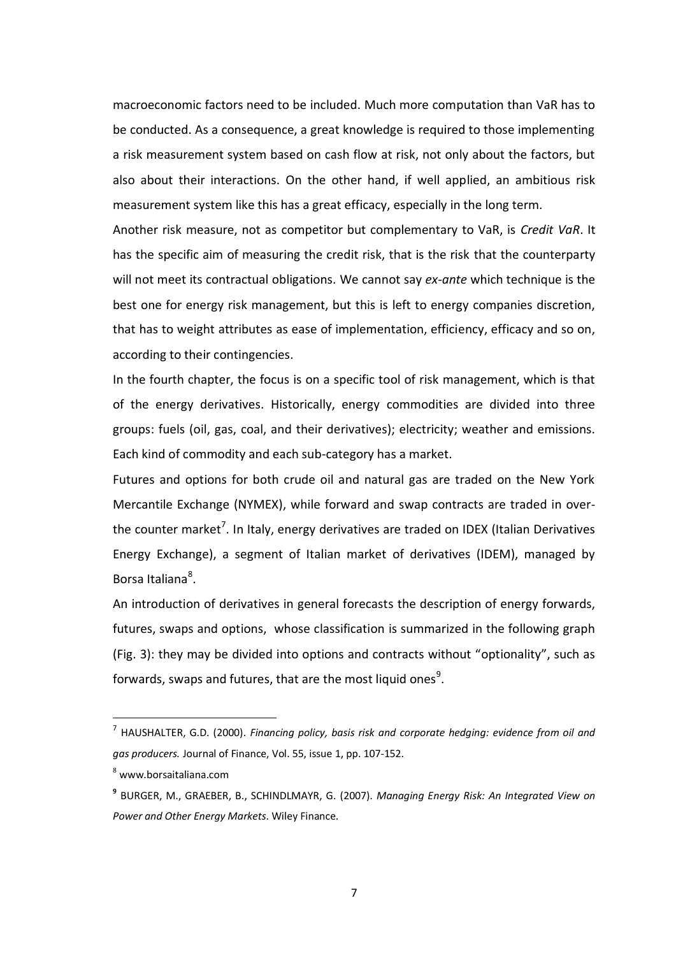macroeconomic factors need to be included. Much more computation than VaR has to be conducted. As a consequence, a great knowledge is required to those implementing a risk measurement system based on cash flow at risk, not only about the factors, but also about their interactions. On the other hand, if well applied, an ambitious risk measurement system like this has a great efficacy, especially in the long term.

Another risk measure, not as competitor but complementary to VaR, is *Credit VaR*. It has the specific aim of measuring the credit risk, that is the risk that the counterparty will not meet its contractual obligations. We cannot say *ex-ante* which technique is the best one for energy risk management, but this is left to energy companies discretion, that has to weight attributes as ease of implementation, efficiency, efficacy and so on, according to their contingencies.

In the fourth chapter, the focus is on a specific tool of risk management, which is that of the energy derivatives. Historically, energy commodities are divided into three groups: fuels (oil, gas, coal, and their derivatives); electricity; weather and emissions. Each kind of commodity and each sub-category has a market.

Futures and options for both crude oil and natural gas are traded on the New York Mercantile Exchange (NYMEX), while forward and swap contracts are traded in overthe counter market<sup>7</sup>. In Italy, energy derivatives are traded on IDEX (Italian Derivatives Energy Exchange), a segment of Italian market of derivatives (IDEM), managed by Borsa Italiana<sup>8</sup>.

An introduction of derivatives in general forecasts the description of energy forwards, futures, swaps and options, whose classification is summarized in the following graph (Fig. 3): they may be divided into options and contracts without "optionality", such as forwards, swaps and futures, that are the most liquid ones $^9$ .

<sup>7</sup> HAUSHALTER, G.D. (2000). *Financing policy, basis risk and corporate hedging: evidence from oil and gas producers.* Journal of Finance, Vol. 55, issue 1, pp. 107-152.

<sup>8</sup> [www.borsaitaliana.com](http://www.borsaitaliana.com/)

**<sup>9</sup>** [BURGER,](http://eu.wiley.com/WileyCDA/Section/id-302479.html?query=Markus+Burger) M., [GRAEBER,](http://eu.wiley.com/WileyCDA/Section/id-302479.html?query=Bernhard+Graeber) B., [SCHINDLMAYR,](http://eu.wiley.com/WileyCDA/Section/id-302479.html?query=Gero+Schindlmayr) G. (2007). *Managing Energy Risk: An Integrated View on Power and Other Energy Markets*. Wiley Finance.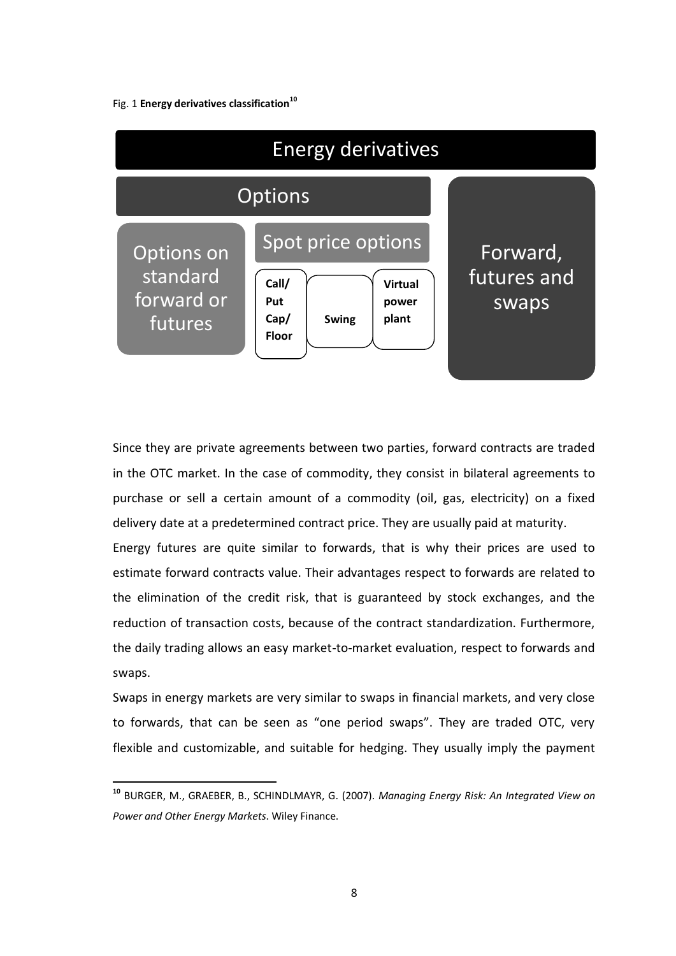#### Fig. 1 **Energy derivatives classification<sup>10</sup>**

1



Since they are private agreements between two parties, forward contracts are traded in the OTC market. In the case of commodity, they consist in bilateral agreements to purchase or sell a certain amount of a commodity (oil, gas, electricity) on a fixed delivery date at a predetermined contract price. They are usually paid at maturity.

Energy futures are quite similar to forwards, that is why their prices are used to estimate forward contracts value. Their advantages respect to forwards are related to the elimination of the credit risk, that is guaranteed by stock exchanges, and the reduction of transaction costs, because of the contract standardization. Furthermore, the daily trading allows an easy market-to-market evaluation, respect to forwards and swaps.

Swaps in energy markets are very similar to swaps in financial markets, and very close to forwards, that can be seen as "one period swaps". They are traded OTC, very flexible and customizable, and suitable for hedging. They usually imply the payment

**<sup>10</sup>** [BURGER,](http://eu.wiley.com/WileyCDA/Section/id-302479.html?query=Markus+Burger) M., [GRAEBER,](http://eu.wiley.com/WileyCDA/Section/id-302479.html?query=Bernhard+Graeber) B., [SCHINDLMAYR,](http://eu.wiley.com/WileyCDA/Section/id-302479.html?query=Gero+Schindlmayr) G. (2007). *Managing Energy Risk: An Integrated View on Power and Other Energy Markets*. Wiley Finance.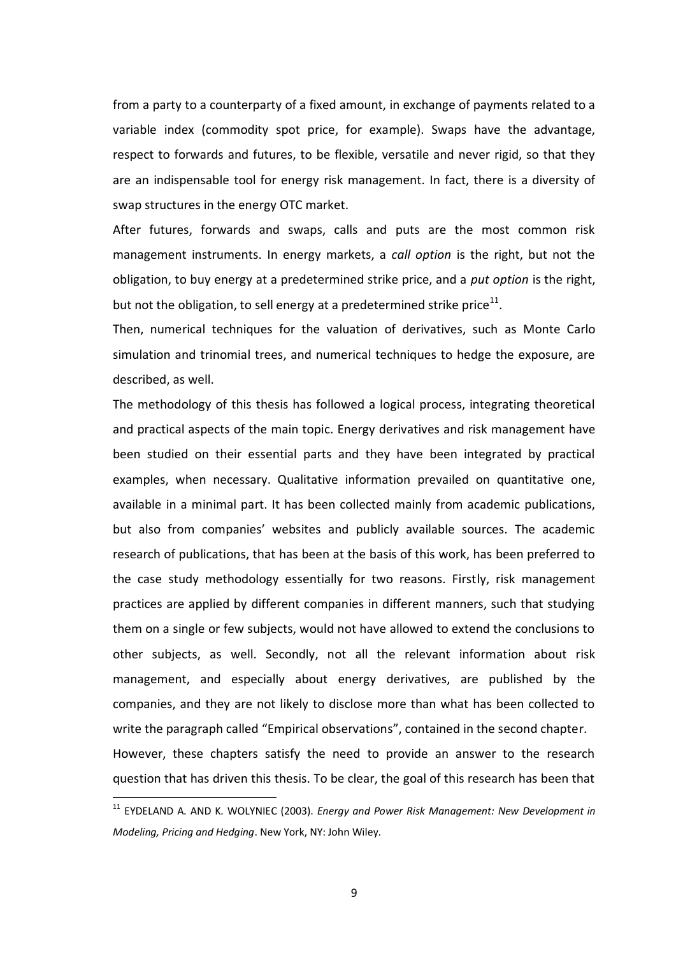from a party to a counterparty of a fixed amount, in exchange of payments related to a variable index (commodity spot price, for example). Swaps have the advantage, respect to forwards and futures, to be flexible, versatile and never rigid, so that they are an indispensable tool for energy risk management. In fact, there is a diversity of swap structures in the energy OTC market.

After futures, forwards and swaps, calls and puts are the most common risk management instruments. In energy markets, a *call option* is the right, but not the obligation, to buy energy at a predetermined strike price, and a *put option* is the right, but not the obligation, to sell energy at a predetermined strike price<sup>11</sup>.

Then, numerical techniques for the valuation of derivatives, such as Monte Carlo simulation and trinomial trees, and numerical techniques to hedge the exposure, are described, as well.

The methodology of this thesis has followed a logical process, integrating theoretical and practical aspects of the main topic. Energy derivatives and risk management have been studied on their essential parts and they have been integrated by practical examples, when necessary. Qualitative information prevailed on quantitative one, available in a minimal part. It has been collected mainly from academic publications, but also from companies' websites and publicly available sources. The academic research of publications, that has been at the basis of this work, has been preferred to the case study methodology essentially for two reasons. Firstly, risk management practices are applied by different companies in different manners, such that studying them on a single or few subjects, would not have allowed to extend the conclusions to other subjects, as well. Secondly, not all the relevant information about risk management, and especially about energy derivatives, are published by the companies, and they are not likely to disclose more than what has been collected to write the paragraph called "Empirical observations", contained in the second chapter. However, these chapters satisfy the need to provide an answer to the research question that has driven this thesis. To be clear, the goal of this research has been that

<sup>&</sup>lt;sup>11</sup> EYDELAND A. AND K. WOLYNIEC (2003). *Energy and Power Risk Management: New Development in Modeling, Pricing and Hedging*. New York, NY: John Wiley.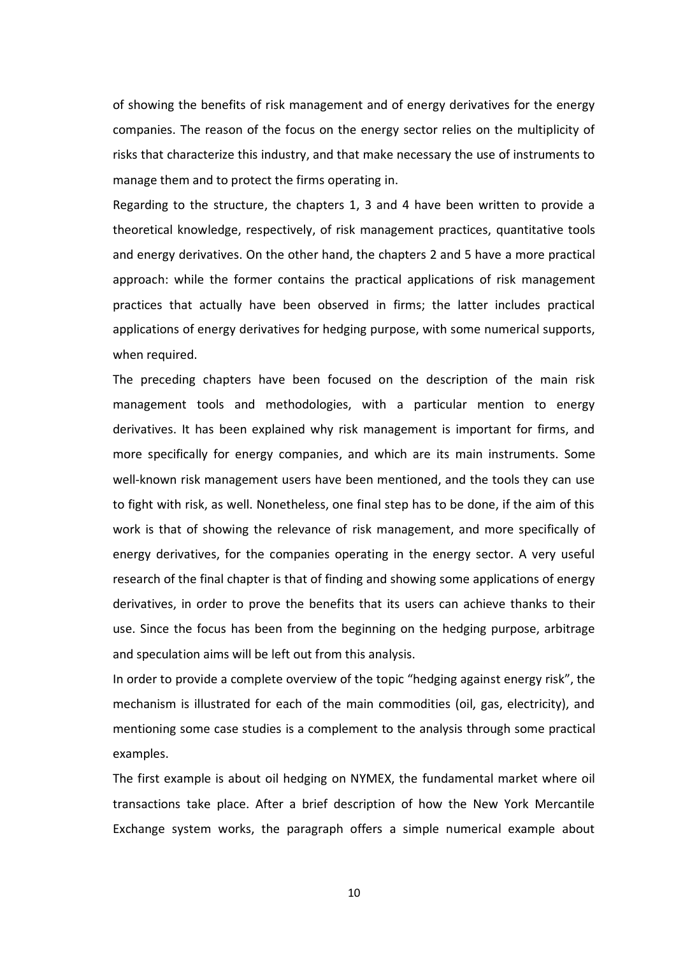of showing the benefits of risk management and of energy derivatives for the energy companies. The reason of the focus on the energy sector relies on the multiplicity of risks that characterize this industry, and that make necessary the use of instruments to manage them and to protect the firms operating in.

Regarding to the structure, the chapters 1, 3 and 4 have been written to provide a theoretical knowledge, respectively, of risk management practices, quantitative tools and energy derivatives. On the other hand, the chapters 2 and 5 have a more practical approach: while the former contains the practical applications of risk management practices that actually have been observed in firms; the latter includes practical applications of energy derivatives for hedging purpose, with some numerical supports, when required.

The preceding chapters have been focused on the description of the main risk management tools and methodologies, with a particular mention to energy derivatives. It has been explained why risk management is important for firms, and more specifically for energy companies, and which are its main instruments. Some well-known risk management users have been mentioned, and the tools they can use to fight with risk, as well. Nonetheless, one final step has to be done, if the aim of this work is that of showing the relevance of risk management, and more specifically of energy derivatives, for the companies operating in the energy sector. A very useful research of the final chapter is that of finding and showing some applications of energy derivatives, in order to prove the benefits that its users can achieve thanks to their use. Since the focus has been from the beginning on the hedging purpose, arbitrage and speculation aims will be left out from this analysis.

In order to provide a complete overview of the topic "hedging against energy risk", the mechanism is illustrated for each of the main commodities (oil, gas, electricity), and mentioning some case studies is a complement to the analysis through some practical examples.

The first example is about oil hedging on NYMEX, the fundamental market where oil transactions take place. After a brief description of how the New York Mercantile Exchange system works, the paragraph offers a simple numerical example about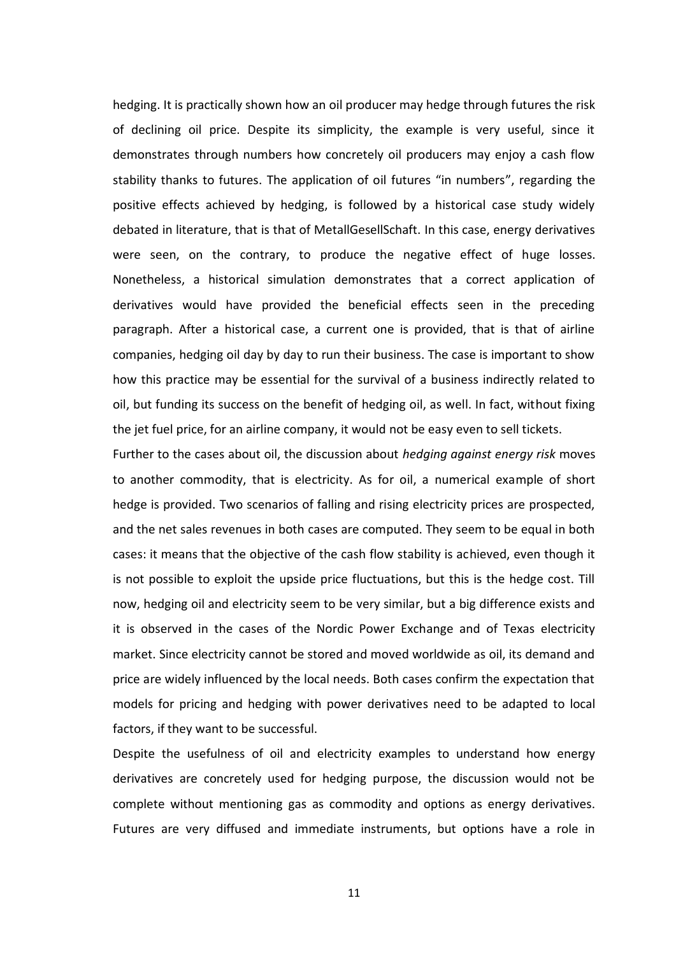hedging. It is practically shown how an oil producer may hedge through futures the risk of declining oil price. Despite its simplicity, the example is very useful, since it demonstrates through numbers how concretely oil producers may enjoy a cash flow stability thanks to futures. The application of oil futures "in numbers", regarding the positive effects achieved by hedging, is followed by a historical case study widely debated in literature, that is that of MetallGesellSchaft. In this case, energy derivatives were seen, on the contrary, to produce the negative effect of huge losses. Nonetheless, a historical simulation demonstrates that a correct application of derivatives would have provided the beneficial effects seen in the preceding paragraph. After a historical case, a current one is provided, that is that of airline companies, hedging oil day by day to run their business. The case is important to show how this practice may be essential for the survival of a business indirectly related to oil, but funding its success on the benefit of hedging oil, as well. In fact, without fixing the jet fuel price, for an airline company, it would not be easy even to sell tickets.

Further to the cases about oil, the discussion about *hedging against energy risk* moves to another commodity, that is electricity. As for oil, a numerical example of short hedge is provided. Two scenarios of falling and rising electricity prices are prospected, and the net sales revenues in both cases are computed. They seem to be equal in both cases: it means that the objective of the cash flow stability is achieved, even though it is not possible to exploit the upside price fluctuations, but this is the hedge cost. Till now, hedging oil and electricity seem to be very similar, but a big difference exists and it is observed in the cases of the Nordic Power Exchange and of Texas electricity market. Since electricity cannot be stored and moved worldwide as oil, its demand and price are widely influenced by the local needs. Both cases confirm the expectation that models for pricing and hedging with power derivatives need to be adapted to local factors, if they want to be successful.

Despite the usefulness of oil and electricity examples to understand how energy derivatives are concretely used for hedging purpose, the discussion would not be complete without mentioning gas as commodity and options as energy derivatives. Futures are very diffused and immediate instruments, but options have a role in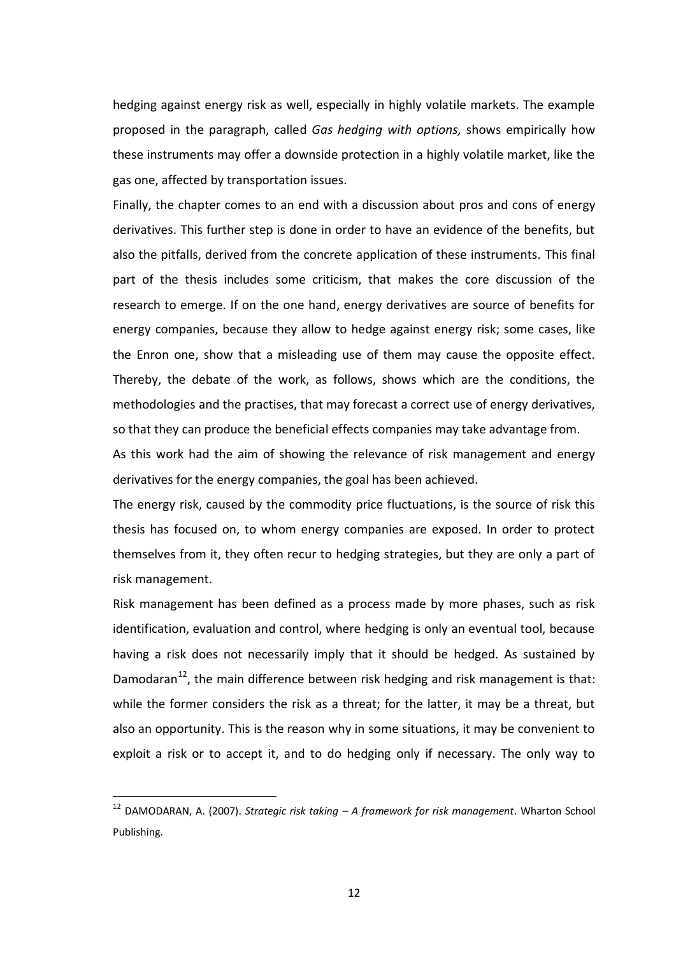hedging against energy risk as well, especially in highly volatile markets. The example proposed in the paragraph, called *Gas hedging with options,* shows empirically how these instruments may offer a downside protection in a highly volatile market, like the gas one, affected by transportation issues.

Finally, the chapter comes to an end with a discussion about pros and cons of energy derivatives. This further step is done in order to have an evidence of the benefits, but also the pitfalls, derived from the concrete application of these instruments. This final part of the thesis includes some criticism, that makes the core discussion of the research to emerge. If on the one hand, energy derivatives are source of benefits for energy companies, because they allow to hedge against energy risk; some cases, like the Enron one, show that a misleading use of them may cause the opposite effect. Thereby, the debate of the work, as follows, shows which are the conditions, the methodologies and the practises, that may forecast a correct use of energy derivatives, so that they can produce the beneficial effects companies may take advantage from.

As this work had the aim of showing the relevance of risk management and energy derivatives for the energy companies, the goal has been achieved.

The energy risk, caused by the commodity price fluctuations, is the source of risk this thesis has focused on, to whom energy companies are exposed. In order to protect themselves from it, they often recur to hedging strategies, but they are only a part of risk management.

Risk management has been defined as a process made by more phases, such as risk identification, evaluation and control, where hedging is only an eventual tool, because having a risk does not necessarily imply that it should be hedged. As sustained by Damodaran $^{12}$ , the main difference between risk hedging and risk management is that: while the former considers the risk as a threat; for the latter, it may be a threat, but also an opportunity. This is the reason why in some situations, it may be convenient to exploit a risk or to accept it, and to do hedging only if necessary. The only way to

<sup>12</sup> DAMODARAN, A. (2007). *Strategic risk taking – A framework for risk management*. Wharton School Publishing.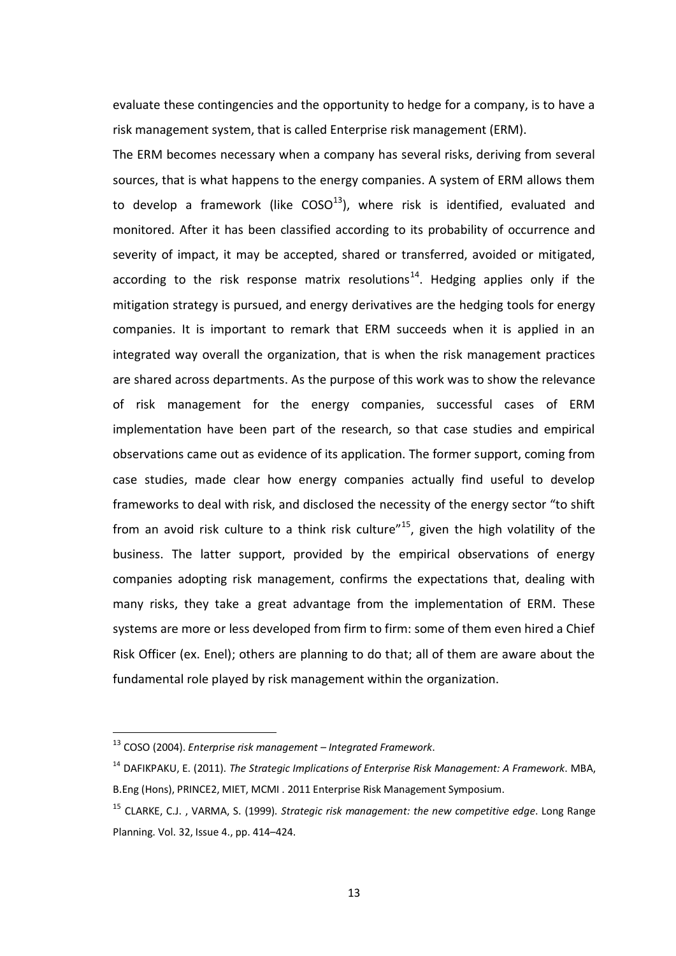evaluate these contingencies and the opportunity to hedge for a company, is to have a risk management system, that is called Enterprise risk management (ERM).

The ERM becomes necessary when a company has several risks, deriving from several sources, that is what happens to the energy companies. A system of ERM allows them to develop a framework (like  $COSO<sup>13</sup>$ ), where risk is identified, evaluated and monitored. After it has been classified according to its probability of occurrence and severity of impact, it may be accepted, shared or transferred, avoided or mitigated, according to the risk response matrix resolutions<sup>14</sup>. Hedging applies only if the mitigation strategy is pursued, and energy derivatives are the hedging tools for energy companies. It is important to remark that ERM succeeds when it is applied in an integrated way overall the organization, that is when the risk management practices are shared across departments. As the purpose of this work was to show the relevance of risk management for the energy companies, successful cases of ERM implementation have been part of the research, so that case studies and empirical observations came out as evidence of its application. The former support, coming from case studies, made clear how energy companies actually find useful to develop frameworks to deal with risk, and disclosed the necessity of the energy sector "to shift from an avoid risk culture to a think risk culture"<sup>15</sup>, given the high volatility of the business. The latter support, provided by the empirical observations of energy companies adopting risk management, confirms the expectations that, dealing with many risks, they take a great advantage from the implementation of ERM. These systems are more or less developed from firm to firm: some of them even hired a Chief Risk Officer (ex. Enel); others are planning to do that; all of them are aware about the fundamental role played by risk management within the organization.

<sup>13</sup> COSO (2004). *Enterprise risk management – Integrated Framework*.

<sup>14</sup> DAFIKPAKU, E. (2011). *[The Strategic Implications of Enterprise Risk Management: A Framework](http://docsfiles.com/view.php?view=http://www.soa.org/library/monographs/other-monographs/2011/november/mono-2011-m-as11-1-dafikpaku-abstract.pdf&keyword=risk%20management%202011%20eng&count=)*. MBA, B.Eng (Hons), PRINCE2, MIET, MCMI . 2011 Enterprise Risk Management Symposium.

<sup>15</sup> CLARKE, C.J. , VARMA, S. (1999). *Strategic risk management: the new competitive edge*. Long Range Planning. Vol. 32, Issue 4., pp. 414–424.